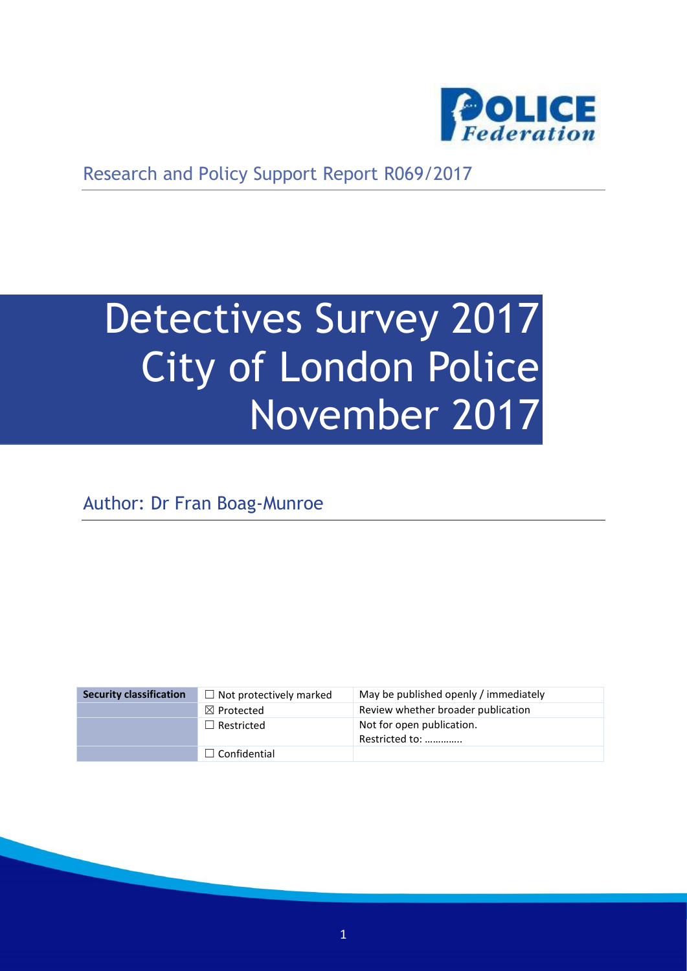

Research and Policy Support Report R069/2017

# Detectives Survey 2017 City of London Police November 2017

Author: Dr Fran Boag-Munroe

| <b>Security classification</b> | $\Box$ Not protectively marked | May be published openly / immediately       |
|--------------------------------|--------------------------------|---------------------------------------------|
|                                | $\boxtimes$ Protected          | Review whether broader publication          |
|                                | $\Box$ Restricted              | Not for open publication.<br>Restricted to: |
|                                | $\Box$ Confidential            |                                             |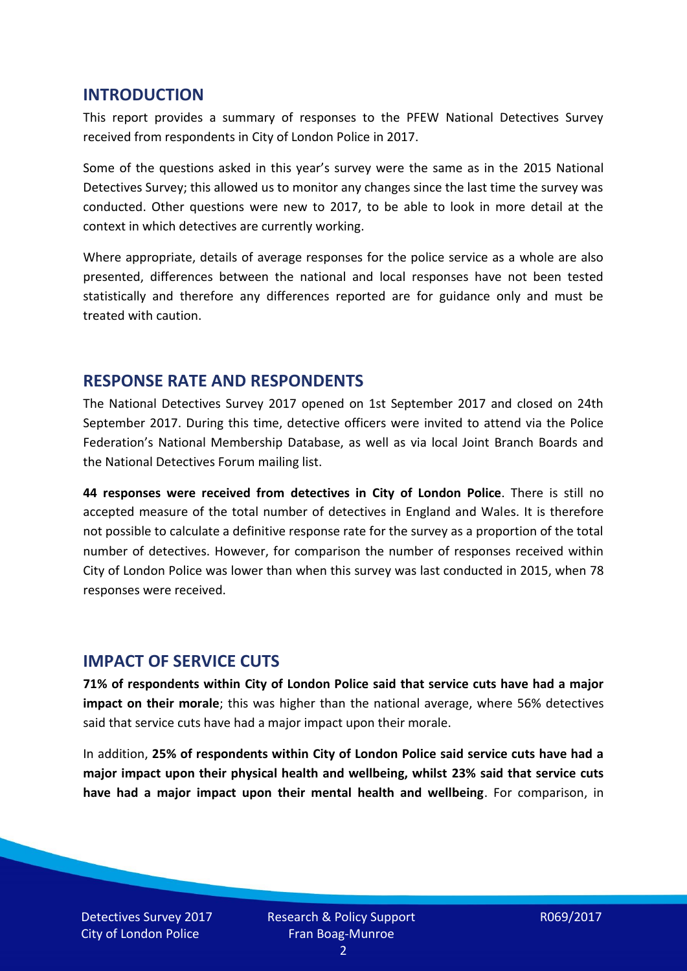#### **INTRODUCTION**

This report provides a summary of responses to the PFEW National Detectives Survey received from respondents in City of London Police in 2017.

Some of the questions asked in this year's survey were the same as in the 2015 National Detectives Survey; this allowed us to monitor any changes since the last time the survey was conducted. Other questions were new to 2017, to be able to look in more detail at the context in which detectives are currently working.

Where appropriate, details of average responses for the police service as a whole are also presented, differences between the national and local responses have not been tested statistically and therefore any differences reported are for guidance only and must be treated with caution.

#### **RESPONSE RATE AND RESPONDENTS**

The National Detectives Survey 2017 opened on 1st September 2017 and closed on 24th September 2017. During this time, detective officers were invited to attend via the Police Federation's National Membership Database, as well as via local Joint Branch Boards and the National Detectives Forum mailing list.

**44 responses were received from detectives in City of London Police**. There is still no accepted measure of the total number of detectives in England and Wales. It is therefore not possible to calculate a definitive response rate for the survey as a proportion of the total number of detectives. However, for comparison the number of responses received within City of London Police was lower than when this survey was last conducted in 2015, when 78 responses were received.

## **IMPACT OF SERVICE CUTS**

**71% of respondents within City of London Police said that service cuts have had a major impact on their morale**; this was higher than the national average, where 56% detectives said that service cuts have had a major impact upon their morale.

In addition, **25% of respondents within City of London Police said service cuts have had a major impact upon their physical health and wellbeing, whilst 23% said that service cuts have had a major impact upon their mental health and wellbeing**. For comparison, in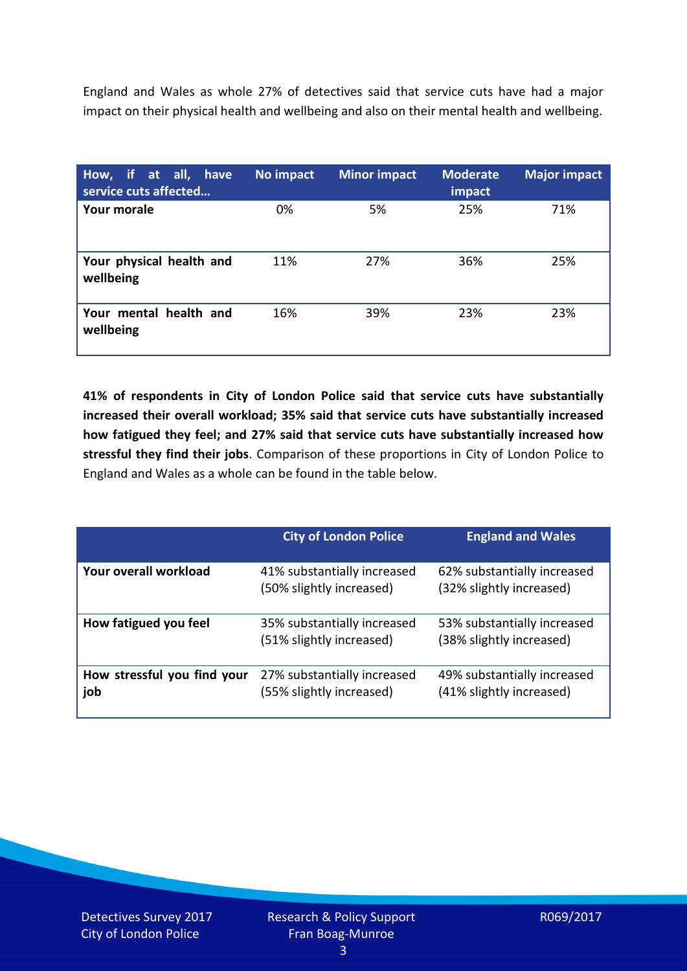England and Wales as whole 27% of detectives said that service cuts have had a major impact on their physical health and wellbeing and also on their mental health and wellbeing.

| How, if at all, have<br>service cuts affected | No impact | <b>Minor impact</b> | <b>Moderate</b><br>impact | <b>Major impact</b> |
|-----------------------------------------------|-----------|---------------------|---------------------------|---------------------|
| <b>Your morale</b>                            | 0%        | 5%                  | 25%                       | 71%                 |
| Your physical health and<br>wellbeing         | 11%       | 27%                 | 36%                       | 25%                 |
| Your mental health and<br>wellbeing           | 16%       | 39%                 | 23%                       | 23%                 |

**41% of respondents in City of London Police said that service cuts have substantially increased their overall workload; 35% said that service cuts have substantially increased how fatigued they feel; and 27% said that service cuts have substantially increased how stressful they find their jobs**. Comparison of these proportions in City of London Police to England and Wales as a whole can be found in the table below.

|                                    | <b>City of London Police</b>                            | <b>England and Wales</b>                                |
|------------------------------------|---------------------------------------------------------|---------------------------------------------------------|
| Your overall workload              | 41% substantially increased<br>(50% slightly increased) | 62% substantially increased<br>(32% slightly increased) |
| How fatigued you feel              | 35% substantially increased<br>(51% slightly increased) | 53% substantially increased<br>(38% slightly increased) |
| How stressful you find your<br>job | 27% substantially increased<br>(55% slightly increased) | 49% substantially increased<br>(41% slightly increased) |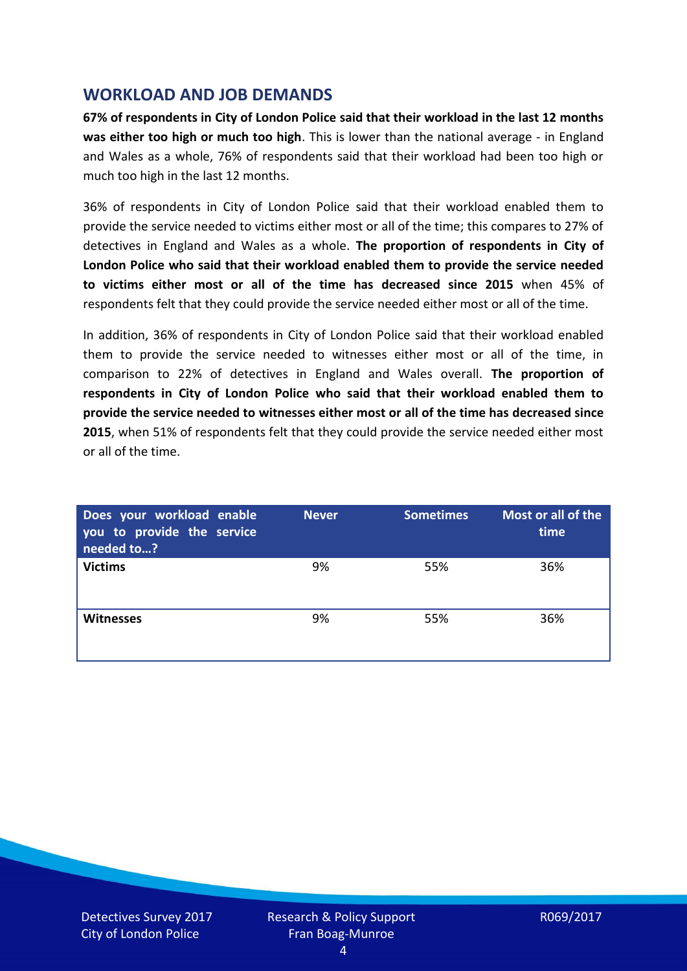### **WORKLOAD AND JOB DEMANDS**

**67% of respondents in City of London Police said that their workload in the last 12 months was either too high or much too high**. This is lower than the national average - in England and Wales as a whole, 76% of respondents said that their workload had been too high or much too high in the last 12 months.

36% of respondents in City of London Police said that their workload enabled them to provide the service needed to victims either most or all of the time; this compares to 27% of detectives in England and Wales as a whole. **The proportion of respondents in City of London Police who said that their workload enabled them to provide the service needed to victims either most or all of the time has decreased since 2015** when 45% of respondents felt that they could provide the service needed either most or all of the time.

In addition, 36% of respondents in City of London Police said that their workload enabled them to provide the service needed to witnesses either most or all of the time, in comparison to 22% of detectives in England and Wales overall. **The proportion of respondents in City of London Police who said that their workload enabled them to provide the service needed to witnesses either most or all of the time has decreased since 2015**, when 51% of respondents felt that they could provide the service needed either most or all of the time.

| Does your workload enable<br>you to provide the service<br>needed to? | <b>Never</b> | <b>Sometimes</b> | Most or all of the<br>time |
|-----------------------------------------------------------------------|--------------|------------------|----------------------------|
| <b>Victims</b>                                                        | 9%           | 55%              | 36%                        |
| <b>Witnesses</b>                                                      | 9%           | 55%              | 36%                        |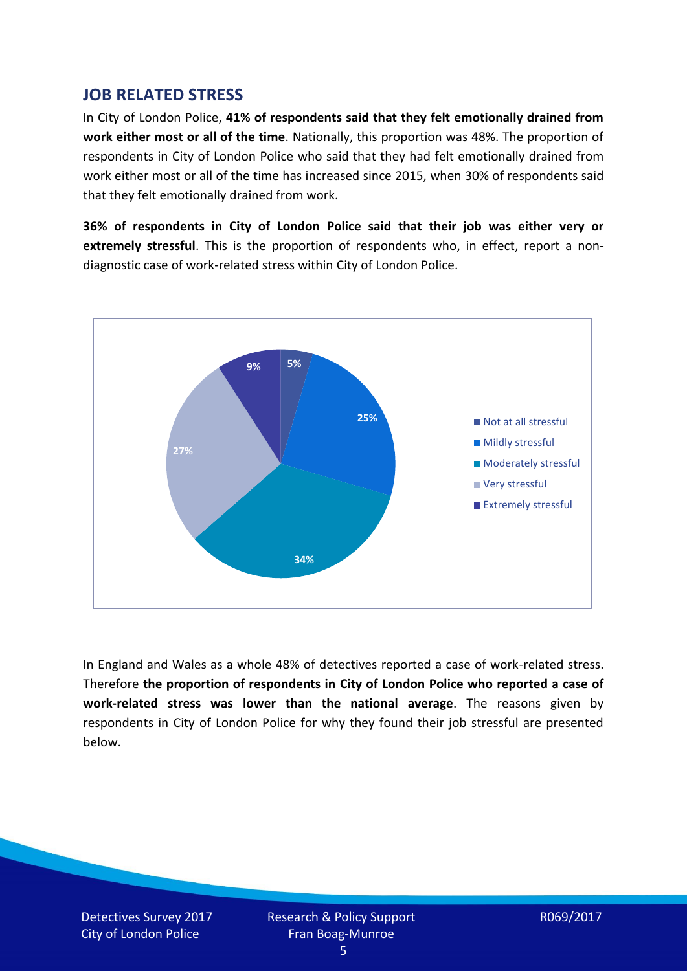### **JOB RELATED STRESS**

In City of London Police, **41% of respondents said that they felt emotionally drained from work either most or all of the time**. Nationally, this proportion was 48%. The proportion of respondents in City of London Police who said that they had felt emotionally drained from work either most or all of the time has increased since 2015, when 30% of respondents said that they felt emotionally drained from work.

**36% of respondents in City of London Police said that their job was either very or extremely stressful**. This is the proportion of respondents who, in effect, report a nondiagnostic case of work-related stress within City of London Police.



In England and Wales as a whole 48% of detectives reported a case of work-related stress. Therefore **the proportion of respondents in City of London Police who reported a case of work-related stress was lower than the national average**. The reasons given by respondents in City of London Police for why they found their job stressful are presented below.

Detectives Survey 2017 City of London Police

Research & Policy Support Fran Boag-Munroe

R069/2017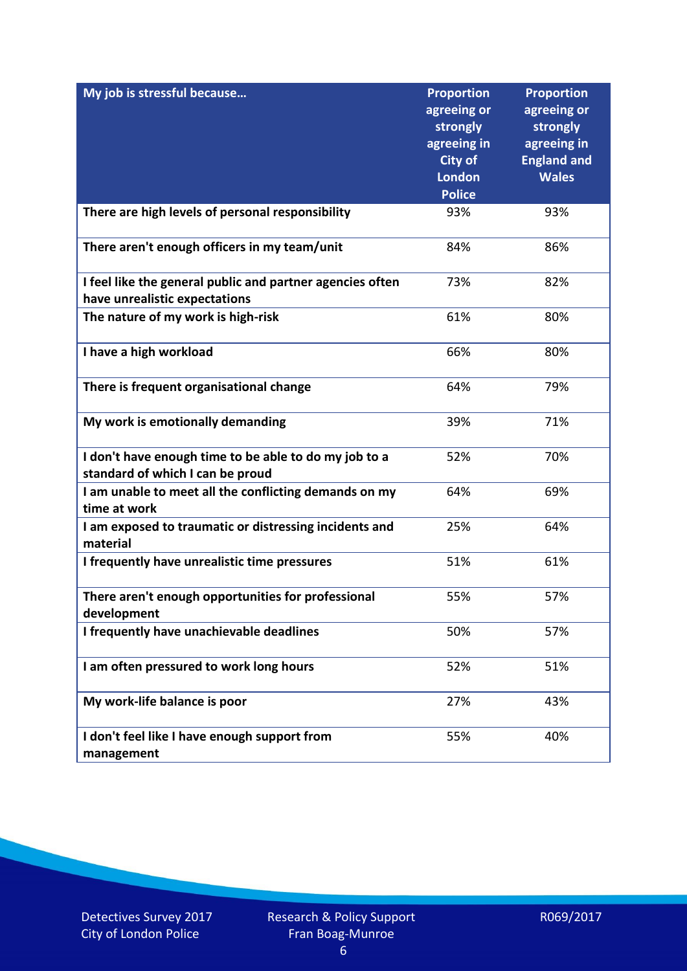| My job is stressful because                                                                | <b>Proportion</b><br>agreeing or<br>strongly<br>agreeing in<br><b>City of</b><br><b>London</b><br><b>Police</b> | <b>Proportion</b><br>agreeing or<br>strongly<br>agreeing in<br><b>England and</b><br><b>Wales</b> |
|--------------------------------------------------------------------------------------------|-----------------------------------------------------------------------------------------------------------------|---------------------------------------------------------------------------------------------------|
| There are high levels of personal responsibility                                           | 93%                                                                                                             | 93%                                                                                               |
| There aren't enough officers in my team/unit                                               | 84%                                                                                                             | 86%                                                                                               |
| I feel like the general public and partner agencies often<br>have unrealistic expectations | 73%                                                                                                             | 82%                                                                                               |
| The nature of my work is high-risk                                                         | 61%                                                                                                             | 80%                                                                                               |
| I have a high workload                                                                     | 66%                                                                                                             | 80%                                                                                               |
| There is frequent organisational change                                                    | 64%                                                                                                             | 79%                                                                                               |
| My work is emotionally demanding                                                           | 39%                                                                                                             | 71%                                                                                               |
| I don't have enough time to be able to do my job to a<br>standard of which I can be proud  | 52%                                                                                                             | 70%                                                                                               |
| I am unable to meet all the conflicting demands on my<br>time at work                      | 64%                                                                                                             | 69%                                                                                               |
| I am exposed to traumatic or distressing incidents and<br>material                         | 25%                                                                                                             | 64%                                                                                               |
| I frequently have unrealistic time pressures                                               | 51%                                                                                                             | 61%                                                                                               |
| There aren't enough opportunities for professional<br>development                          | 55%                                                                                                             | 57%                                                                                               |
| I frequently have unachievable deadlines                                                   | 50%                                                                                                             | 57%                                                                                               |
| I am often pressured to work long hours                                                    | 52%                                                                                                             | 51%                                                                                               |
| My work-life balance is poor                                                               | 27%                                                                                                             | 43%                                                                                               |
| I don't feel like I have enough support from<br>management                                 | 55%                                                                                                             | 40%                                                                                               |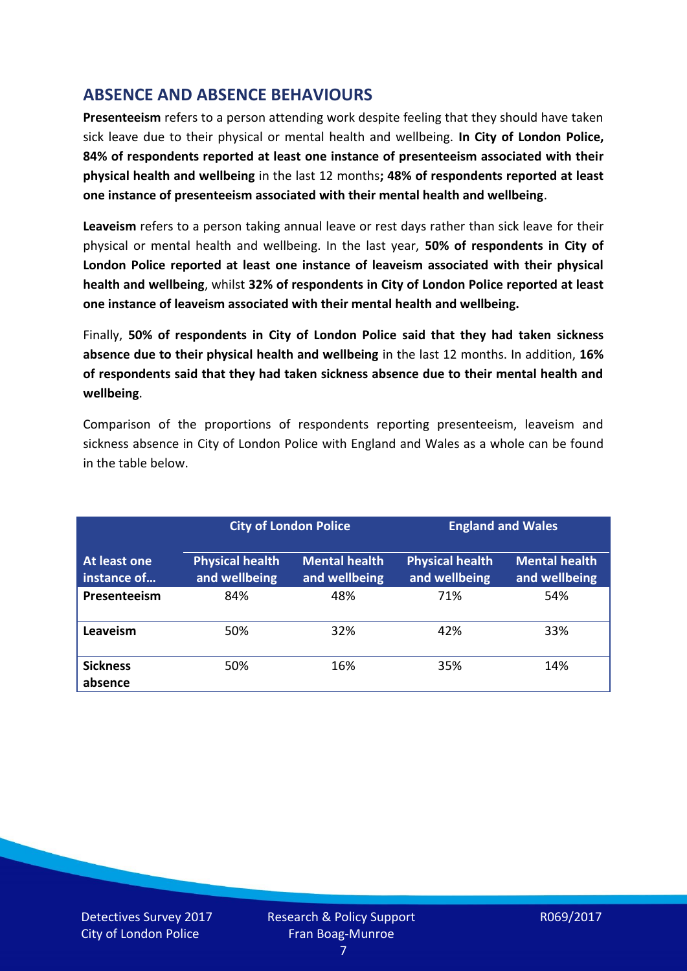# **ABSENCE AND ABSENCE BEHAVIOURS**

**Presenteeism** refers to a person attending work despite feeling that they should have taken sick leave due to their physical or mental health and wellbeing. **In City of London Police, 84% of respondents reported at least one instance of presenteeism associated with their physical health and wellbeing** in the last 12 months**; 48% of respondents reported at least one instance of presenteeism associated with their mental health and wellbeing**.

**Leaveism** refers to a person taking annual leave or rest days rather than sick leave for their physical or mental health and wellbeing. In the last year, **50% of respondents in City of London Police reported at least one instance of leaveism associated with their physical health and wellbeing**, whilst **32% of respondents in City of London Police reported at least one instance of leaveism associated with their mental health and wellbeing.**

Finally, **50% of respondents in City of London Police said that they had taken sickness absence due to their physical health and wellbeing** in the last 12 months. In addition, **16% of respondents said that they had taken sickness absence due to their mental health and wellbeing**.

Comparison of the proportions of respondents reporting presenteeism, leaveism and sickness absence in City of London Police with England and Wales as a whole can be found in the table below.

|                                    |                                         | <b>City of London Police</b>          |                                         | <b>England and Wales</b>              |
|------------------------------------|-----------------------------------------|---------------------------------------|-----------------------------------------|---------------------------------------|
| <b>At least one</b><br>instance of | <b>Physical health</b><br>and wellbeing | <b>Mental health</b><br>and wellbeing | <b>Physical health</b><br>and wellbeing | <b>Mental health</b><br>and wellbeing |
| Presenteeism                       | 84%                                     | 48%                                   | 71%                                     | 54%                                   |
| Leaveism                           | 50%                                     | 32%                                   | 42%                                     | 33%                                   |
| <b>Sickness</b><br>absence         | 50%                                     | 16%                                   | 35%                                     | 14%                                   |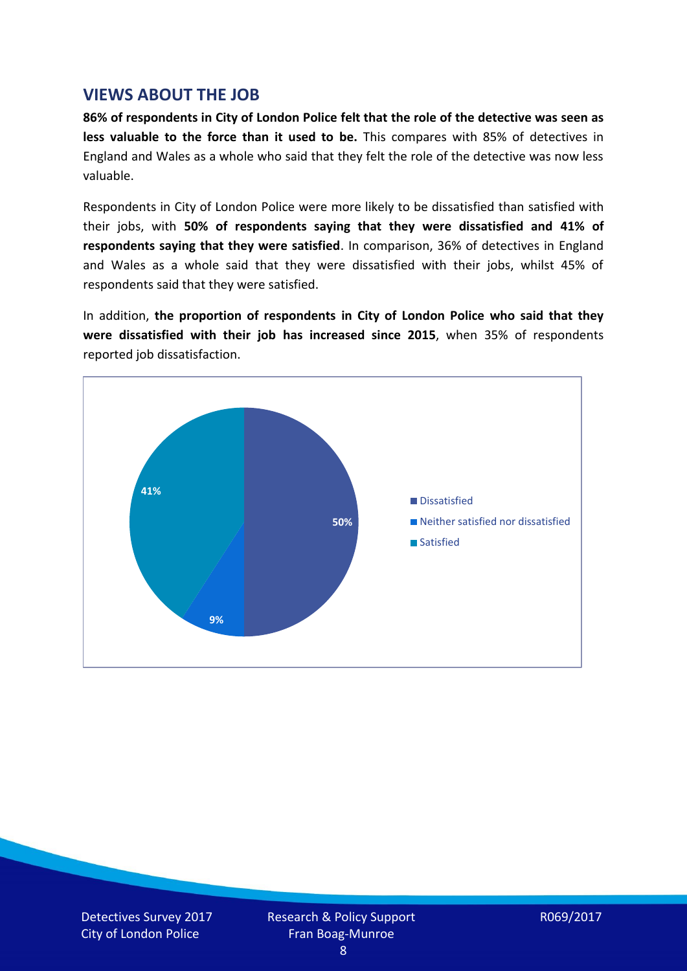### **VIEWS ABOUT THE JOB**

**86% of respondents in City of London Police felt that the role of the detective was seen as less valuable to the force than it used to be.** This compares with 85% of detectives in England and Wales as a whole who said that they felt the role of the detective was now less valuable.

Respondents in City of London Police were more likely to be dissatisfied than satisfied with their jobs, with **50% of respondents saying that they were dissatisfied and 41% of respondents saying that they were satisfied**. In comparison, 36% of detectives in England and Wales as a whole said that they were dissatisfied with their jobs, whilst 45% of respondents said that they were satisfied.

In addition, **the proportion of respondents in City of London Police who said that they were dissatisfied with their job has increased since 2015**, when 35% of respondents reported job dissatisfaction.



Detectives Survey 2017 City of London Police

Research & Policy Support Fran Boag-Munroe

R069/2017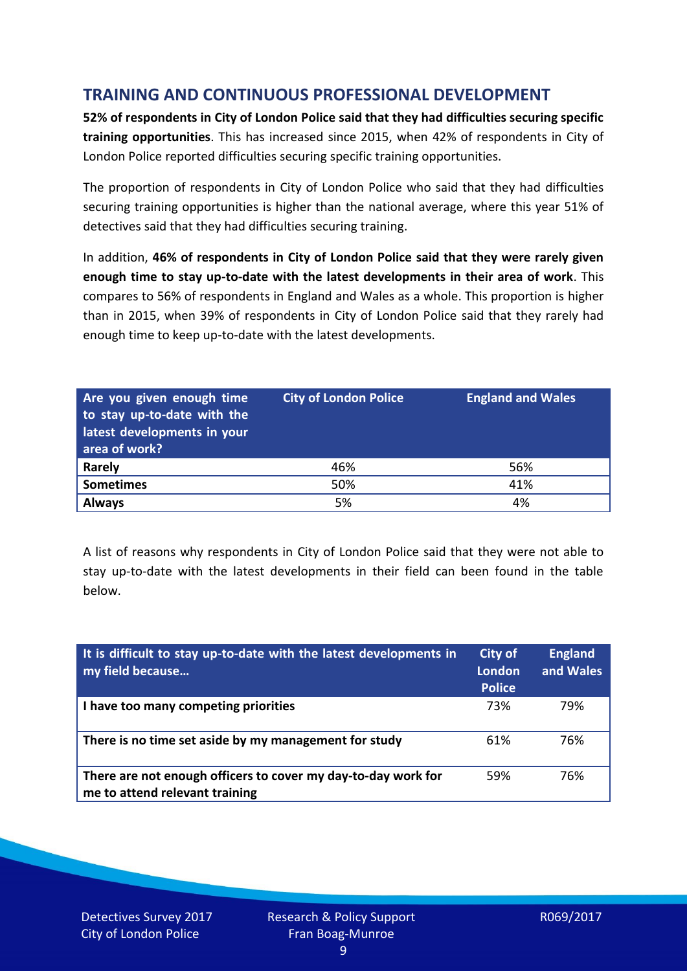# **TRAINING AND CONTINUOUS PROFESSIONAL DEVELOPMENT**

**52% of respondents in City of London Police said that they had difficulties securing specific training opportunities**. This has increased since 2015, when 42% of respondents in City of London Police reported difficulties securing specific training opportunities.

The proportion of respondents in City of London Police who said that they had difficulties securing training opportunities is higher than the national average, where this year 51% of detectives said that they had difficulties securing training.

In addition, **46% of respondents in City of London Police said that they were rarely given enough time to stay up-to-date with the latest developments in their area of work**. This compares to 56% of respondents in England and Wales as a whole. This proportion is higher than in 2015, when 39% of respondents in City of London Police said that they rarely had enough time to keep up-to-date with the latest developments.

| Are you given enough time<br>to stay up-to-date with the<br>latest developments in your<br>area of work? | <b>City of London Police</b> | <b>England and Wales</b> |
|----------------------------------------------------------------------------------------------------------|------------------------------|--------------------------|
| <b>Rarely</b>                                                                                            | 46%                          | 56%                      |
| <b>Sometimes</b>                                                                                         | 50%                          | 41%                      |
| <b>Always</b>                                                                                            | 5%                           | 4%                       |

A list of reasons why respondents in City of London Police said that they were not able to stay up-to-date with the latest developments in their field can been found in the table below.

| It is difficult to stay up-to-date with the latest developments in<br>my field because          | <b>City of</b><br>London<br><b>Police</b> | <b>England</b><br>and Wales |
|-------------------------------------------------------------------------------------------------|-------------------------------------------|-----------------------------|
| I have too many competing priorities                                                            | 73%                                       | 79%                         |
| There is no time set aside by my management for study                                           | 61%                                       | 76%                         |
| There are not enough officers to cover my day-to-day work for<br>me to attend relevant training | 59%                                       | 76%                         |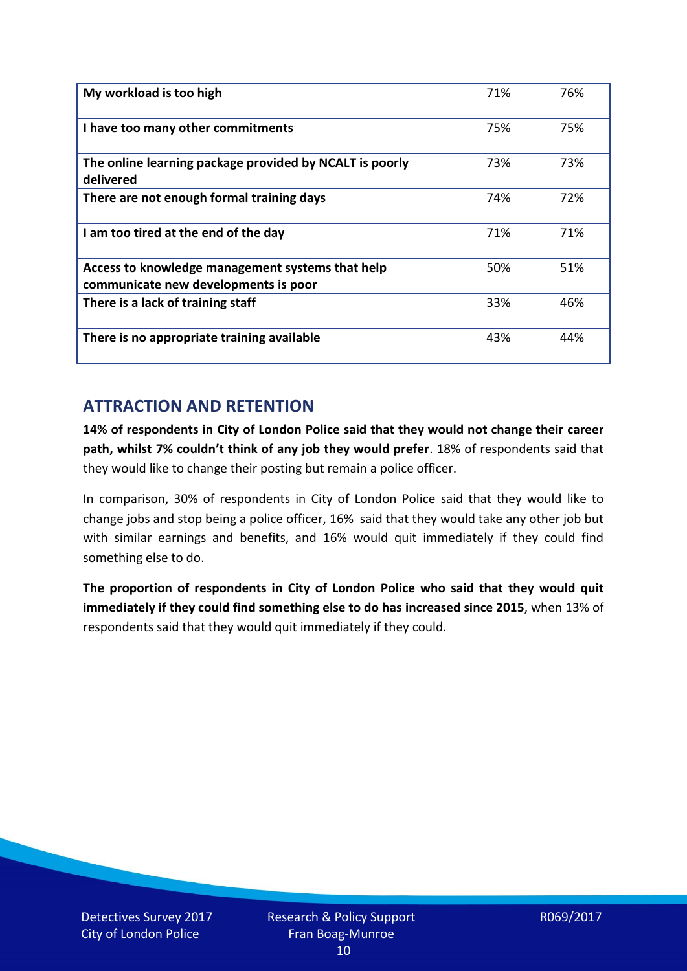| My workload is too high                                                                  | 71% | 76% |
|------------------------------------------------------------------------------------------|-----|-----|
| I have too many other commitments                                                        | 75% | 75% |
| The online learning package provided by NCALT is poorly<br>delivered                     | 73% | 73% |
| There are not enough formal training days                                                | 74% | 72% |
| I am too tired at the end of the day                                                     | 71% | 71% |
| Access to knowledge management systems that help<br>communicate new developments is poor | 50% | 51% |
| There is a lack of training staff                                                        | 33% | 46% |
| There is no appropriate training available                                               | 43% | 44% |

## **ATTRACTION AND RETENTION**

**14% of respondents in City of London Police said that they would not change their career path, whilst 7% couldn't think of any job they would prefer**. 18% of respondents said that they would like to change their posting but remain a police officer.

In comparison, 30% of respondents in City of London Police said that they would like to change jobs and stop being a police officer, 16% said that they would take any other job but with similar earnings and benefits, and 16% would quit immediately if they could find something else to do.

**The proportion of respondents in City of London Police who said that they would quit immediately if they could find something else to do has increased since 2015**, when 13% of respondents said that they would quit immediately if they could.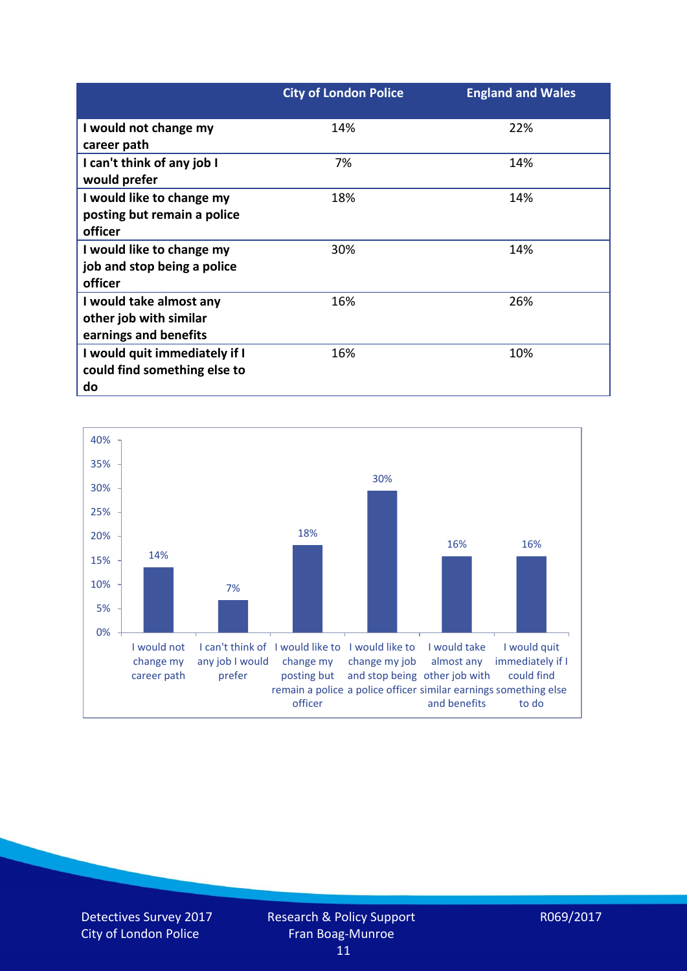|                               | <b>City of London Police</b> | <b>England and Wales</b> |
|-------------------------------|------------------------------|--------------------------|
| I would not change my         | 14%                          | 22%                      |
| career path                   |                              |                          |
| I can't think of any job I    | 7%                           | 14%                      |
| would prefer                  |                              |                          |
| I would like to change my     | 18%                          | 14%                      |
| posting but remain a police   |                              |                          |
| officer                       |                              |                          |
| I would like to change my     | 30%                          | 14%                      |
| job and stop being a police   |                              |                          |
| officer                       |                              |                          |
| I would take almost any       | 16%                          | 26%                      |
| other job with similar        |                              |                          |
| earnings and benefits         |                              |                          |
| I would quit immediately if I | 16%                          | 10%                      |
| could find something else to  |                              |                          |
| do                            |                              |                          |